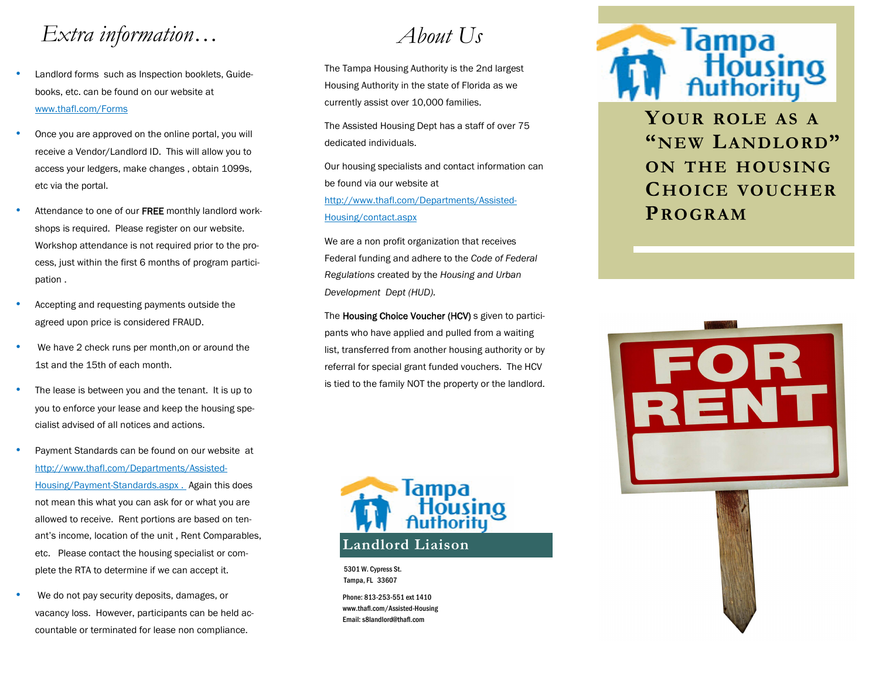## *Extra information…*

- Landlord forms such as Inspection booklets, Guidebooks, etc. can be found on our website at www.thafl.com/Forms
- Once you are approved on the online portal, you will receive a Vendor/Landlord ID. This will allow you to access your ledgers, make changes , obtain 1099s, etc via the portal.
- Attendance to one of our FREE monthly landlord workshops is required. Please register on our website. Workshop attendance is not required prior to the process, just within the first 6 months of program participation .
- Accepting and requesting payments outside the agreed upon price is considered FRAUD.
- We have 2 check runs per month, on or around the 1st and the 15th of each month.
- The lease is between you and the tenant. It is up to you to enforce your lease and keep the housing specialist advised of all notices and actions.
- Payment Standards can be found on our website at http://www.thafl.com/Departments/Assisted-Housing/Payment-Standards.aspx . Again this does not mean this what you can ask for or what you are allowed to receive. Rent portions are based on tenant's income, location of the unit , Rent Comparables, etc. Please contact the housing specialist or complete the RTA to determine if we can accept it.
- We do not pay security deposits, damages, or vacancy loss. However, participants can be held accountable or terminated for lease non compliance.

# *About Us*

The Tampa Housing Authority is the 2nd largest Housing Authority in the state of Florida as we currently assist over 10,000 families.

The Assisted Housing Dept has a staff of over 75 dedicated individuals.

Our housing specialists and contact information can be found via our website at http://www.thafl.com/Departments/Assisted-Housing/contact.aspx

We are a non profit organization that receives Federal funding and adhere to the *Code of Federal Regulations* created by the *Housing and Urban Development Dept (HUD).* 

The Housing Choice Voucher (HCV) s given to participants who have applied and pulled from a waiting list, transferred from another housing authority or by referral for special grant funded vouchers. The HCV is tied to the family NOT the property or the landlord.



5301 W. Cypress St. Tampa, FL 33607

Phone: 813-253-551 ext 1410 www.thafl.com/Assisted-Housing Email: s8landlord@thafl.com



**YOUR ROLE AS <sup>A</sup> "NEW LANDLORD" ON THE HOUSING CHOICE VOUCHER PROGRAM**